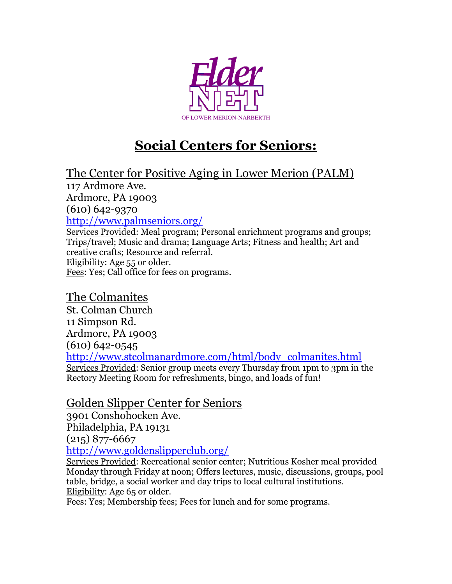

# **Social Centers for Seniors:**

The Center for Positive Aging in Lower Merion (PALM)

117 Ardmore Ave.

Ardmore, PA 19003

(610) 642-9370

<http://www.palmseniors.org/>

Services Provided: Meal program; Personal enrichment programs and groups; Trips/travel; Music and drama; Language Arts; Fitness and health; Art and creative crafts; Resource and referral. Eligibility: Age 55 or older. Fees: Yes; Call office for fees on programs.

#### The Colmanites

St. Colman Church 11 Simpson Rd. Ardmore, PA 19003 (610) 642-0545 [http://www.stcolmanardmore.com/html/body\\_colmanites.html](http://www.stcolmanardmore.com/html/body_colmanites.html) Services Provided: Senior group meets every Thursday from 1pm to 3pm in the Rectory Meeting Room for refreshments, bingo, and loads of fun!

#### Golden Slipper Center for Seniors

3901 Conshohocken Ave. Philadelphia, PA 19131 (215) 877-6667 <http://www.goldenslipperclub.org/>

Services Provided: Recreational senior center; Nutritious Kosher meal provided Monday through Friday at noon; Offers lectures, music, discussions, groups, pool table, bridge, a social worker and day trips to local cultural institutions. Eligibility: Age 65 or older.

Fees: Yes; Membership fees; Fees for lunch and for some programs.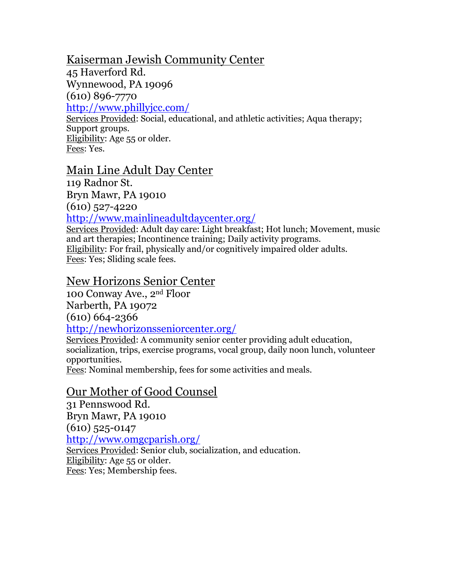# Kaiserman Jewish Community Center

45 Haverford Rd.

Wynnewood, PA 19096

(610) 896-7770

<http://www.phillyjcc.com/>

Services Provided: Social, educational, and athletic activities; Aqua therapy; Support groups. Eligibility: Age 55 or older. Fees: Yes.

# Main Line Adult Day Center

119 Radnor St.

Bryn Mawr, PA 19010

(610) 527-4220

<http://www.mainlineadultdaycenter.org/>

Services Provided: Adult day care: Light breakfast; Hot lunch; Movement, music and art therapies; Incontinence training; Daily activity programs. Eligibility: For frail, physically and/or cognitively impaired older adults. Fees: Yes; Sliding scale fees.

# New Horizons Senior Center

100 Conway Ave., 2nd Floor Narberth, PA 19072 (610) 664-2366 <http://newhorizonsseniorcenter.org/>

Services Provided: A community senior center providing adult education, socialization, trips, exercise programs, vocal group, daily noon lunch, volunteer opportunities.

Fees: Nominal membership, fees for some activities and meals.

#### Our Mother of Good Counsel

31 Pennswood Rd. Bryn Mawr, PA 19010 (610) 525-0147 <http://www.omgcparish.org/> Services Provided: Senior club, socialization, and education. Eligibility: Age 55 or older.

Fees: Yes; Membership fees.